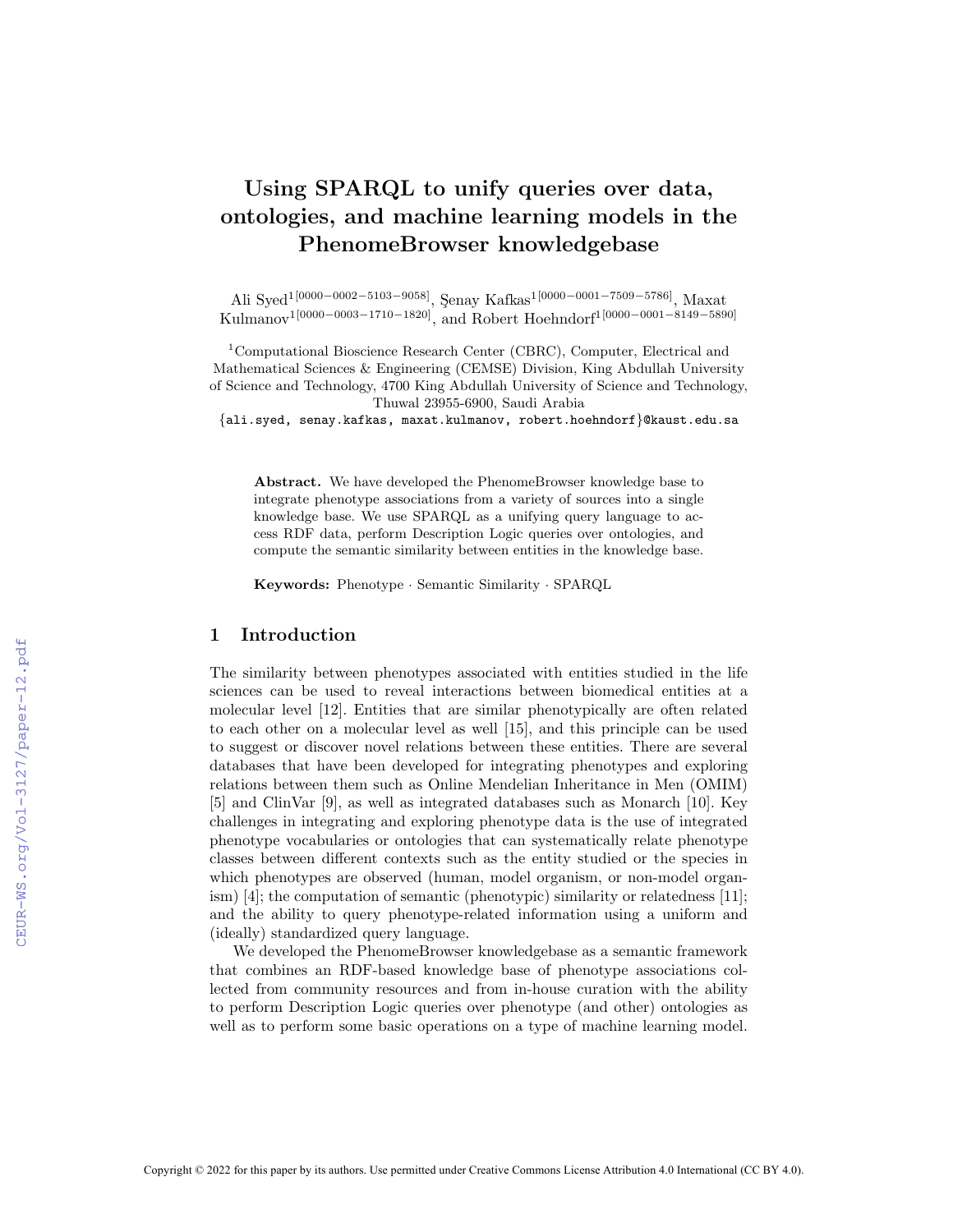# Using SPARQL to unify queries over data, ontologies, and machine learning models in the PhenomeBrowser knowledgebase

Ali Syed<sup>1[0000–0002–5103–9058]</sup>, Şenay Kafkas<sup>1[0000–0001–7509–5786]</sup>, Maxat Kulmanov<sup>1</sup>[0000−0003−1710−1820]<sub>,</sub> and Robert Hoehndorf<sup>1</sup>[0000−0001−8149−5890]

<sup>1</sup>Computational Bioscience Research Center (CBRC), Computer, Electrical and Mathematical Sciences & Engineering (CEMSE) Division, King Abdullah University of Science and Technology, 4700 King Abdullah University of Science and Technology, Thuwal 23955-6900, Saudi Arabia

{ali.syed, senay.kafkas, maxat.kulmanov, robert.hoehndorf}@kaust.edu.sa

Abstract. We have developed the PhenomeBrowser knowledge base to integrate phenotype associations from a variety of sources into a single knowledge base. We use SPARQL as a unifying query language to access RDF data, perform Description Logic queries over ontologies, and compute the semantic similarity between entities in the knowledge base.

Keywords: Phenotype · Semantic Similarity · SPARQL

#### 1 Introduction

The similarity between phenotypes associated with entities studied in the life sciences can be used to reveal interactions between biomedical entities at a molecular level [12]. Entities that are similar phenotypically are often related to each other on a molecular level as well [15], and this principle can be used to suggest or discover novel relations between these entities. There are several databases that have been developed for integrating phenotypes and exploring relations between them such as Online Mendelian Inheritance in Men (OMIM) [5] and ClinVar [9], as well as integrated databases such as Monarch [10]. Key challenges in integrating and exploring phenotype data is the use of integrated phenotype vocabularies or ontologies that can systematically relate phenotype classes between different contexts such as the entity studied or the species in which phenotypes are observed (human, model organism, or non-model organism) [4]; the computation of semantic (phenotypic) similarity or relatedness [11]; and the ability to query phenotype-related information using a uniform and (ideally) standardized query language.

We developed the PhenomeBrowser knowledgebase as a semantic framework that combines an RDF-based knowledge base of phenotype associations collected from community resources and from in-house curation with the ability to perform Description Logic queries over phenotype (and other) ontologies as well as to perform some basic operations on a type of machine learning model.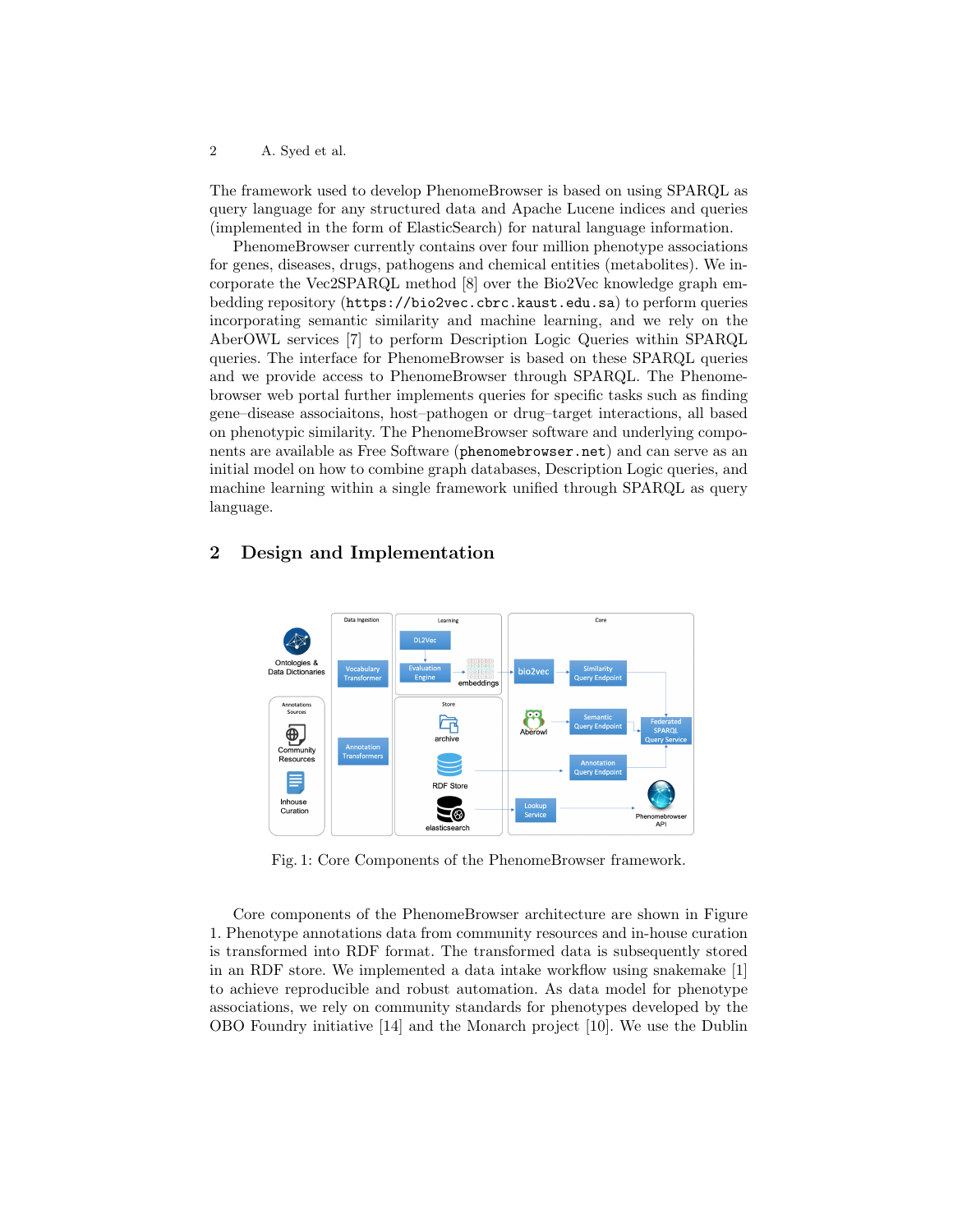2 A. Syed et al.

The framework used to develop PhenomeBrowser is based on using SPARQL as query language for any structured data and Apache Lucene indices and queries (implemented in the form of ElasticSearch) for natural language information.

PhenomeBrowser currently contains over four million phenotype associations for genes, diseases, drugs, pathogens and chemical entities (metabolites). We incorporate the Vec2SPARQL method [8] over the Bio2Vec knowledge graph embedding repository (https://bio2vec.cbrc.kaust.edu.sa) to perform queries incorporating semantic similarity and machine learning, and we rely on the AberOWL services [7] to perform Description Logic Queries within SPARQL queries. The interface for PhenomeBrowser is based on these SPARQL queries and we provide access to PhenomeBrowser through SPARQL. The Phenomebrowser web portal further implements queries for specific tasks such as finding gene–disease associaitons, host–pathogen or drug–target interactions, all based on phenotypic similarity. The PhenomeBrowser software and underlying components are available as Free Software (phenomebrowser.net) and can serve as an initial model on how to combine graph databases, Description Logic queries, and machine learning within a single framework unified through SPARQL as query language.

#### Data Ingestio Learnin Core Ontologies &<br>Data Dictionarie bio2ve embedding Store Annotation<br>Sources 喡  $\oplus$ archive Community<br>Resources E RDF Store Inhouse Looku<br>Servic Curation  $\sum_{i=1}^n a_i$ Phenomeb<br>API

#### 2 Design and Implementation

Fig. 1: Core Components of the PhenomeBrowser framework.

Core components of the PhenomeBrowser architecture are shown in Figure 1. Phenotype annotations data from community resources and in-house curation is transformed into RDF format. The transformed data is subsequently stored in an RDF store. We implemented a data intake workflow using snakemake [1] to achieve reproducible and robust automation. As data model for phenotype associations, we rely on community standards for phenotypes developed by the OBO Foundry initiative [14] and the Monarch project [10]. We use the Dublin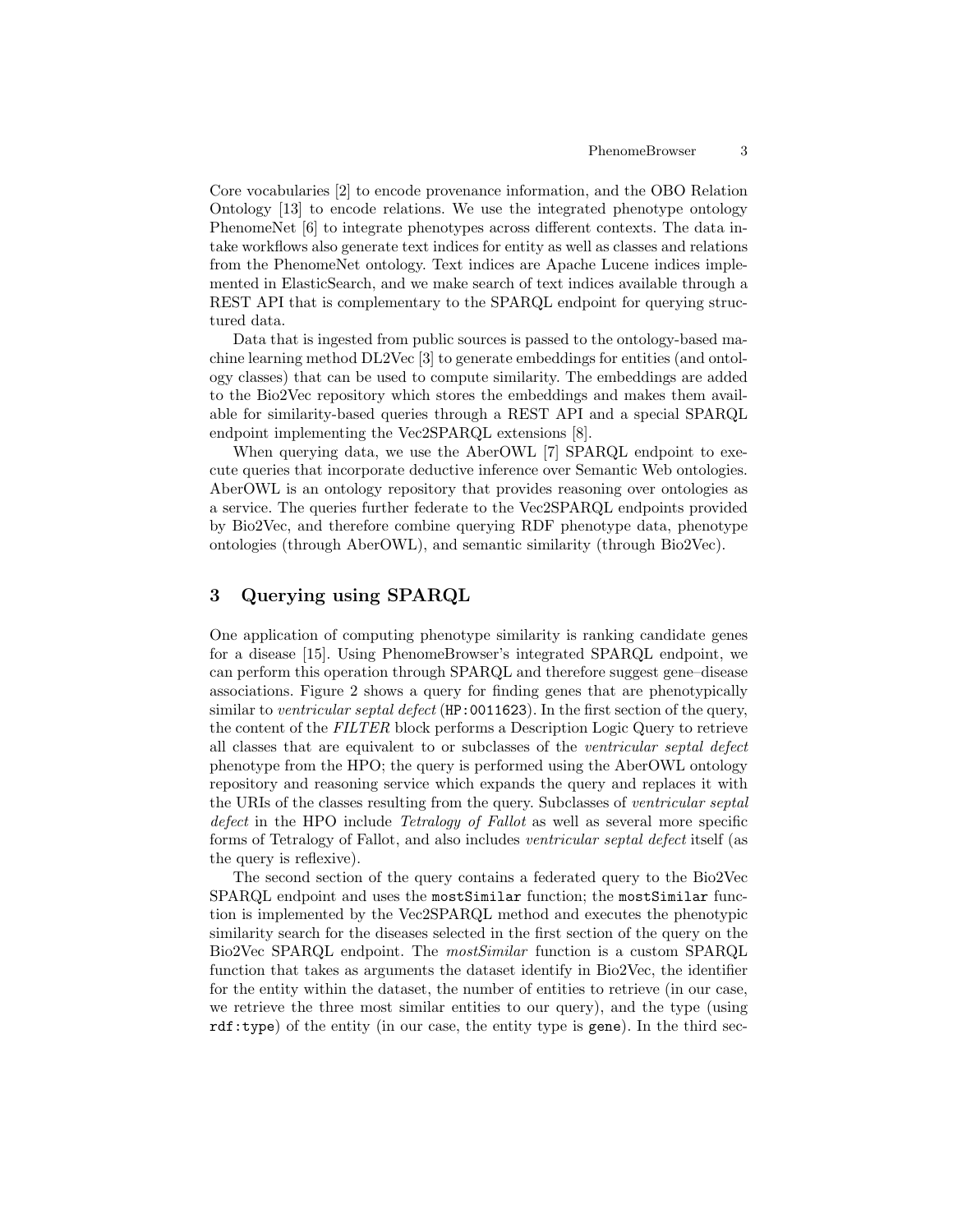Core vocabularies [2] to encode provenance information, and the OBO Relation Ontology [13] to encode relations. We use the integrated phenotype ontology PhenomeNet [6] to integrate phenotypes across different contexts. The data intake workflows also generate text indices for entity as well as classes and relations from the PhenomeNet ontology. Text indices are Apache Lucene indices implemented in ElasticSearch, and we make search of text indices available through a REST API that is complementary to the SPARQL endpoint for querying structured data.

Data that is ingested from public sources is passed to the ontology-based machine learning method DL2Vec [3] to generate embeddings for entities (and ontology classes) that can be used to compute similarity. The embeddings are added to the Bio2Vec repository which stores the embeddings and makes them available for similarity-based queries through a REST API and a special SPARQL endpoint implementing the Vec2SPARQL extensions [8].

When querying data, we use the AberOWL [7] SPARQL endpoint to execute queries that incorporate deductive inference over Semantic Web ontologies. AberOWL is an ontology repository that provides reasoning over ontologies as a service. The queries further federate to the Vec2SPARQL endpoints provided by Bio2Vec, and therefore combine querying RDF phenotype data, phenotype ontologies (through AberOWL), and semantic similarity (through Bio2Vec).

### 3 Querying using SPARQL

One application of computing phenotype similarity is ranking candidate genes for a disease [15]. Using PhenomeBrowser's integrated SPARQL endpoint, we can perform this operation through SPARQL and therefore suggest gene–disease associations. Figure 2 shows a query for finding genes that are phenotypically similar to ventricular septal defect (HP:0011623). In the first section of the query, the content of the FILTER block performs a Description Logic Query to retrieve all classes that are equivalent to or subclasses of the ventricular septal defect phenotype from the HPO; the query is performed using the AberOWL ontology repository and reasoning service which expands the query and replaces it with the URIs of the classes resulting from the query. Subclasses of ventricular septal defect in the HPO include Tetralogy of Fallot as well as several more specific forms of Tetralogy of Fallot, and also includes ventricular septal defect itself (as the query is reflexive).

The second section of the query contains a federated query to the Bio2Vec SPARQL endpoint and uses the mostSimilar function; the mostSimilar function is implemented by the Vec2SPARQL method and executes the phenotypic similarity search for the diseases selected in the first section of the query on the Bio2Vec SPARQL endpoint. The mostSimilar function is a custom SPARQL function that takes as arguments the dataset identify in Bio2Vec, the identifier for the entity within the dataset, the number of entities to retrieve (in our case, we retrieve the three most similar entities to our query), and the type (using  $\texttt{rdf:type}$ ) of the entity (in our case, the entity type is gene). In the third sec-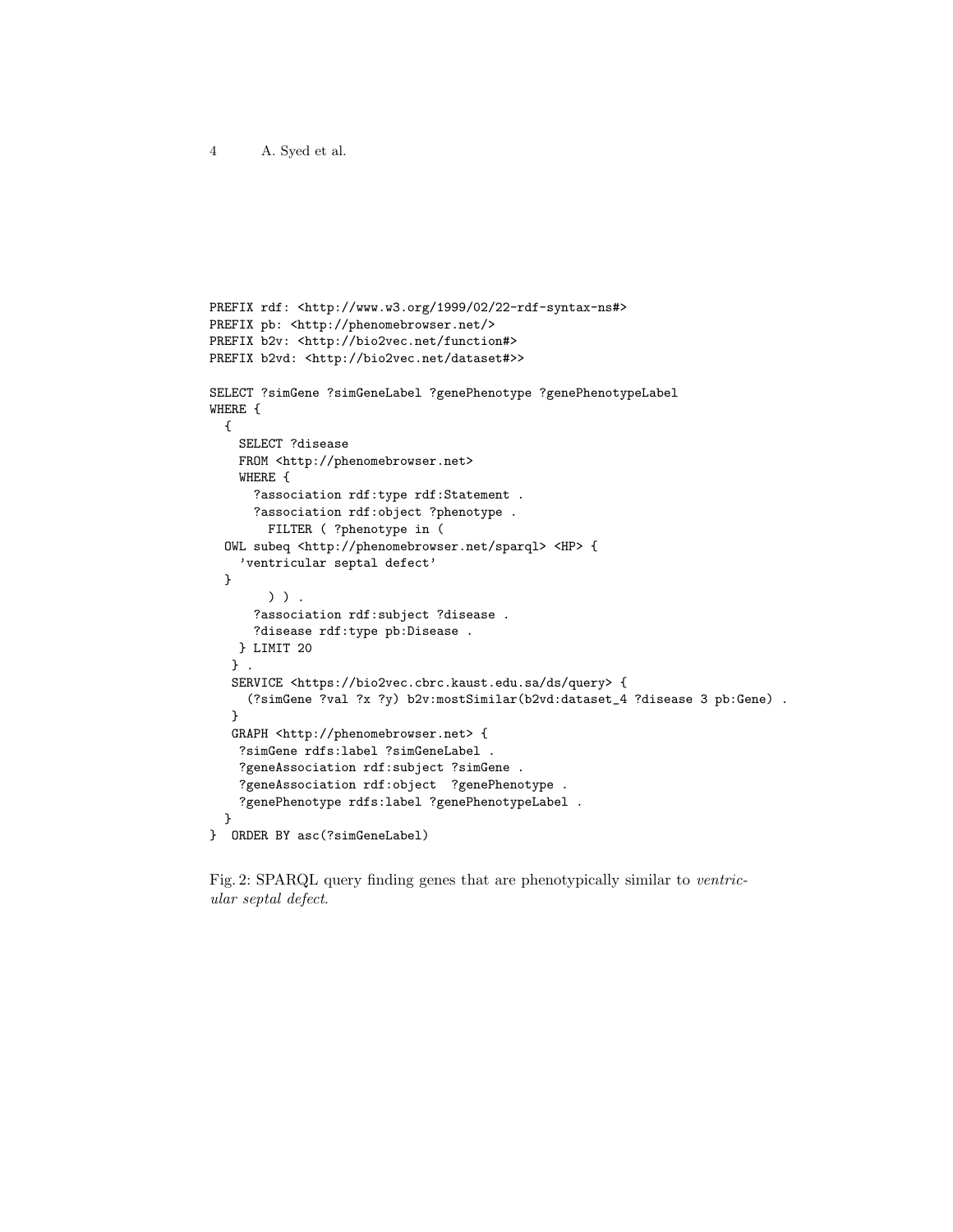```
PREFIX rdf: <http://www.w3.org/1999/02/22-rdf-syntax-ns#>
PREFIX pb: <http://phenomebrowser.net/>
PREFIX b2v: <http://bio2vec.net/function#>
PREFIX b2vd: <http://bio2vec.net/dataset#>>
SELECT ?simGene ?simGeneLabel ?genePhenotype ?genePhenotypeLabel
WHERE {
 {
    SELECT ?disease
    FROM <http://phenomebrowser.net>
    WHERE {
     ?association rdf:type rdf:Statement .
     ?association rdf:object ?phenotype .
       FILTER ( ?phenotype in (
 OWL subeq <http://phenomebrowser.net/sparql> <HP> {
    'ventricular septal defect'
 }
        ) ) .
      ?association rdf:subject ?disease .
     ?disease rdf:type pb:Disease .
   } LIMIT 20
   } .
   SERVICE <https://bio2vec.cbrc.kaust.edu.sa/ds/query> {
     (?simGene ?val ?x ?y) b2v:mostSimilar(b2vd:dataset_4 ?disease 3 pb:Gene) .
   }
   GRAPH <http://phenomebrowser.net> {
    ?simGene rdfs:label ?simGeneLabel .
    ?geneAssociation rdf:subject ?simGene .
    ?geneAssociation rdf:object ?genePhenotype .
    ?genePhenotype rdfs:label ?genePhenotypeLabel .
 }
} ORDER BY asc(?simGeneLabel)
```
Fig. 2: SPARQL query finding genes that are phenotypically similar to ventricular septal defect.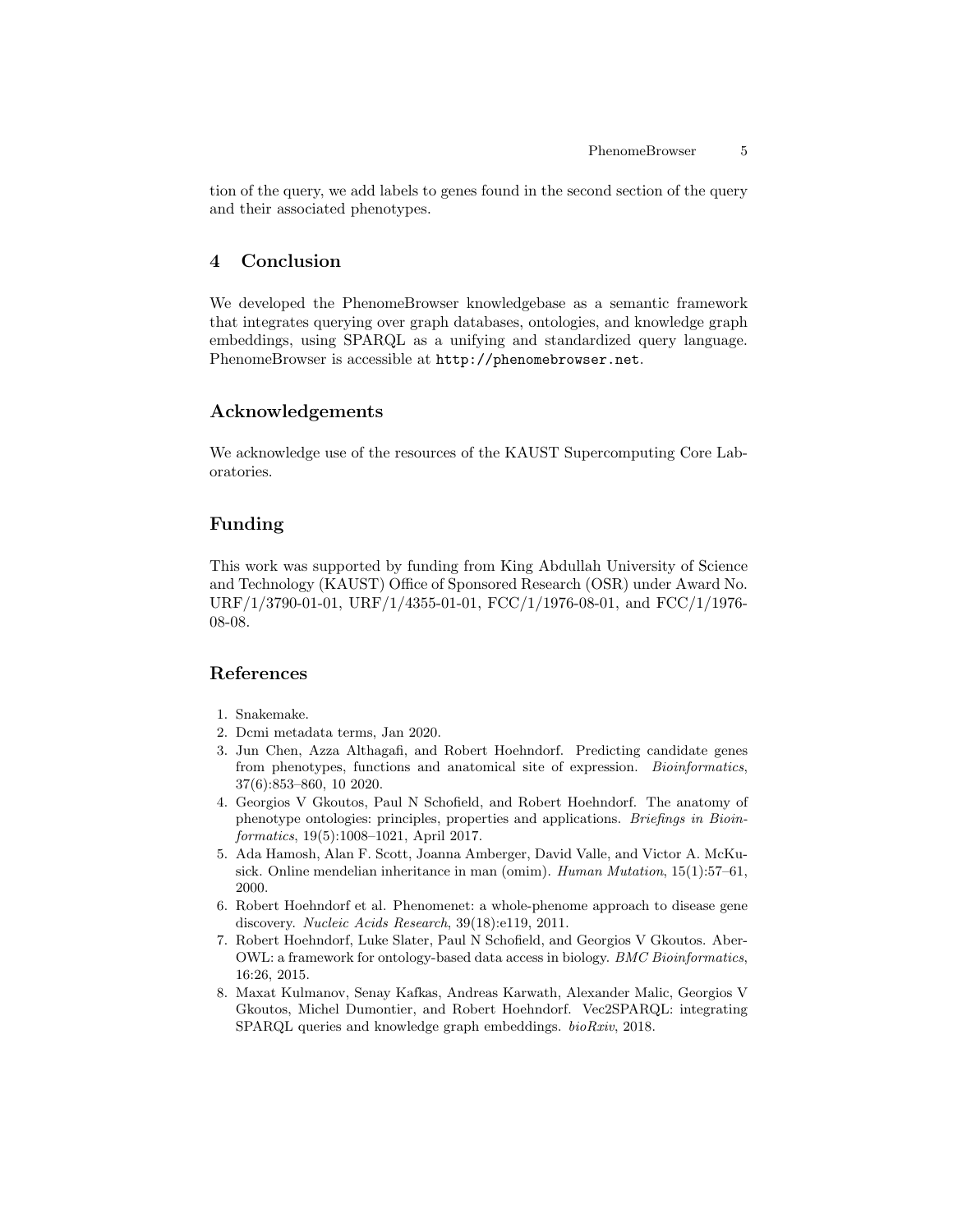tion of the query, we add labels to genes found in the second section of the query and their associated phenotypes.

#### 4 Conclusion

We developed the PhenomeBrowser knowledgebase as a semantic framework that integrates querying over graph databases, ontologies, and knowledge graph embeddings, using SPARQL as a unifying and standardized query language. PhenomeBrowser is accessible at http://phenomebrowser.net.

#### Acknowledgements

We acknowledge use of the resources of the KAUST Supercomputing Core Laboratories.

#### Funding

This work was supported by funding from King Abdullah University of Science and Technology (KAUST) Office of Sponsored Research (OSR) under Award No. URF/1/3790-01-01, URF/1/4355-01-01, FCC/1/1976-08-01, and FCC/1/1976- 08-08.

## References

- 1. Snakemake.
- 2. Dcmi metadata terms, Jan 2020.
- 3. Jun Chen, Azza Althagafi, and Robert Hoehndorf. Predicting candidate genes from phenotypes, functions and anatomical site of expression. Bioinformatics, 37(6):853–860, 10 2020.
- 4. Georgios V Gkoutos, Paul N Schofield, and Robert Hoehndorf. The anatomy of phenotype ontologies: principles, properties and applications. Briefings in Bioinformatics, 19(5):1008–1021, April 2017.
- 5. Ada Hamosh, Alan F. Scott, Joanna Amberger, David Valle, and Victor A. McKusick. Online mendelian inheritance in man (omim). Human Mutation, 15(1):57–61, 2000.
- 6. Robert Hoehndorf et al. Phenomenet: a whole-phenome approach to disease gene discovery. Nucleic Acids Research, 39(18):e119, 2011.
- 7. Robert Hoehndorf, Luke Slater, Paul N Schofield, and Georgios V Gkoutos. Aber-OWL: a framework for ontology-based data access in biology. BMC Bioinformatics, 16:26, 2015.
- 8. Maxat Kulmanov, Senay Kafkas, Andreas Karwath, Alexander Malic, Georgios V Gkoutos, Michel Dumontier, and Robert Hoehndorf. Vec2SPARQL: integrating SPARQL queries and knowledge graph embeddings. bioRxiv, 2018.